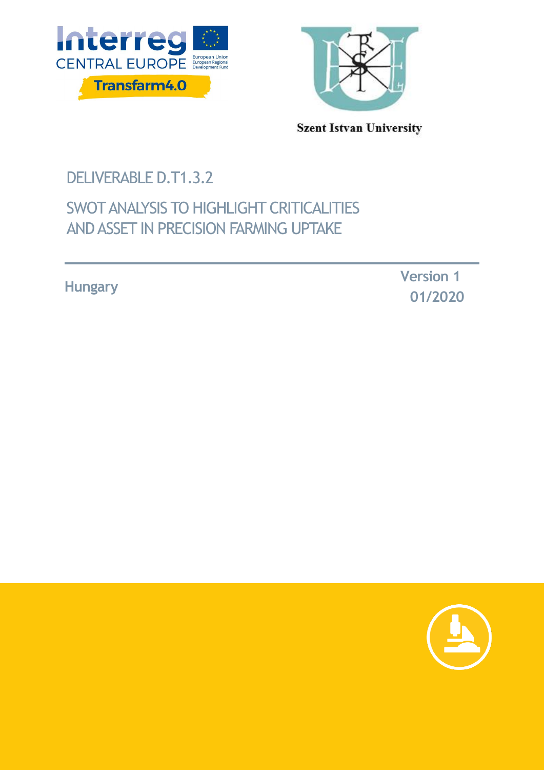



**Szent Istvan University** 

# DELIVERABLE D.T1.3.2

## SWOT ANALYSIS TO HIGHLIGHT CRITICALITIES AND ASSET IN PRECISION FARMING UPTAKE

**Hungary**

 **Version 1 01/2020**

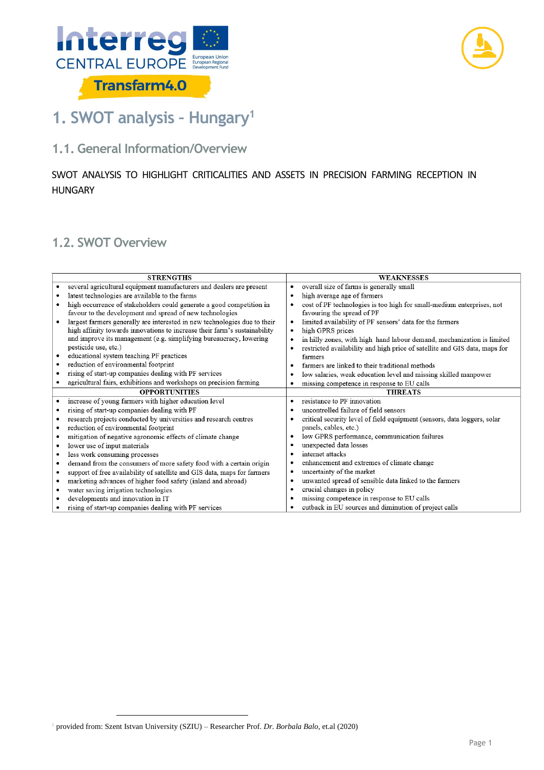



# **1. SWOT analysis – Hungary<sup>1</sup>**

## **1.1. General Information/Overview**

#### SWOT ANALYSIS TO HIGHLIGHT CRITICALITIES AND ASSETS IN PRECISION FARMING RECEPTION IN HUNGARY

### **1.2. SWOT Overview**

| <b>STRENGTHS</b> |                                                                           |           | <b>WEAKNESSES</b>                                                          |  |
|------------------|---------------------------------------------------------------------------|-----------|----------------------------------------------------------------------------|--|
| $\bullet$        | several agricultural equipment manufacturers and dealers are present      | ۰         | overall size of farms is generally small                                   |  |
|                  | latest technologies are available to the farms                            | ٠         | high average age of farmers                                                |  |
|                  | high occurrence of stakeholders could generate a good competition in      | ٠         | cost of PF technologies is too high for small-medium enterprises, not      |  |
|                  | favour to the development and spread of new technologies                  |           | favouring the spread of PF                                                 |  |
|                  | largest farmers generally are interested in new technologies due to their | ٠         | limited availability of PF sensors' data for the farmers                   |  |
|                  | high affinity towards innovations to increase their farm's sustainability | $\bullet$ | high GPRS prices                                                           |  |
|                  | and improve its management (e.g. simplifying bureaucracy, lowering        | ٠         | in hilly zones, with high hand labour demand, mechanization is limited     |  |
|                  | pesticide use, etc.)                                                      | ٠         | restricted availability and high price of satellite and GIS data, maps for |  |
|                  | educational system teaching PF practices                                  |           | farmers                                                                    |  |
|                  | reduction of environmental footprint                                      | ٠         | farmers are linked to their traditional methods                            |  |
|                  | rising of start-up companies dealing with PF services                     | ٠         | low salaries, weak education level and missing skilled manpower            |  |
|                  | agricultural fairs, exhibitions and workshops on precision farming        | ٠         | missing competence in response to EU calls                                 |  |
|                  | <b>OPPORTUNITIES</b>                                                      |           | <b>THREATS</b>                                                             |  |
| $\bullet$        | increase of young farmers with higher education level                     | ٠         | resistance to PF innovation                                                |  |
|                  | rising of start-up companies dealing with PF                              |           | uncontrolled failure of field sensors                                      |  |
|                  | research projects conducted by universities and research centres          |           | critical security level of field equipment (sensors, data loggers, solar   |  |
| ٠                | reduction of environmental footprint                                      |           | panels, cables, etc.)                                                      |  |
| ٠                | mitigation of negative agronomic effects of climate change                | ٠         | low GPRS performance, communication failures                               |  |
|                  | lower use of input materials                                              | ٠         | unexpected data losses                                                     |  |
|                  | less work consuming processes                                             | ٠         | internet attacks                                                           |  |
|                  | demand from the consumers of more safety food with a certain origin       | ٠         | enhancement and extremes of climate change                                 |  |
| ٠                | support of free availability of satellite and GIS data, maps for farmers  | ٠         | uncertainty of the market                                                  |  |
|                  | marketing advances of higher food safety (inland and abroad)              | ٠         | unwanted spread of sensible data linked to the farmers                     |  |
| ٠                | water saving irrigation technologies                                      | ٠         | crucial changes in policy                                                  |  |
|                  | developments and innovation in IT                                         | ٠         | missing competence in response to EU calls                                 |  |
|                  | rising of start-up companies dealing with PF services                     | ٠         | cutback in EU sources and diminution of project calls                      |  |

<sup>1</sup> provided from: Szent Istvan University (SZIU) – Researcher Prof. *Dr. Borbala Balo*, et.al (2020)

-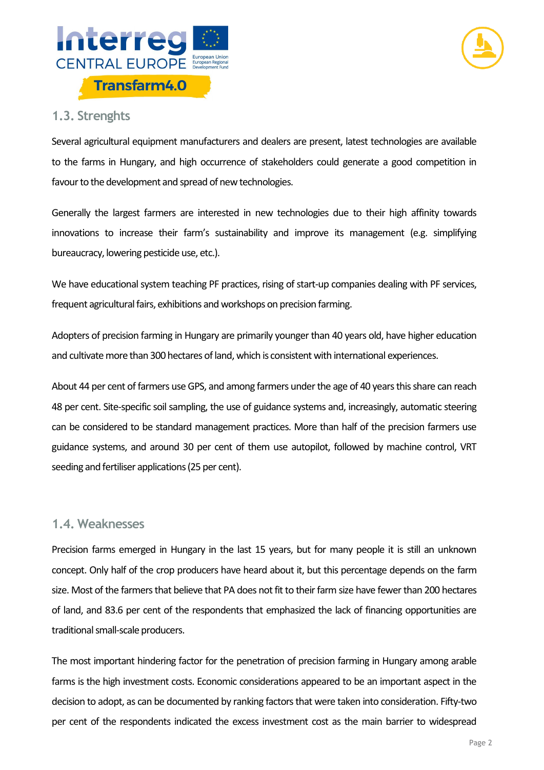



#### **1.3. Strenghts**

Several agricultural equipment manufacturers and dealers are present, latest technologies are available to the farms in Hungary, and high occurrence of stakeholders could generate a good competition in favour to the development and spread of new technologies.

Generally the largest farmers are interested in new technologies due to their high affinity towards innovations to increase their farm's sustainability and improve its management (e.g. simplifying bureaucracy, lowering pesticide use, etc.).

We have educational system teaching PF practices, rising of start-up companies dealing with PF services, frequent agricultural fairs, exhibitions and workshops on precision farming.

Adopters of precision farming in Hungary are primarily younger than 40 years old, have higher education and cultivate more than 300 hectares of land, which is consistent with international experiences.

About 44 per cent of farmers use GPS, and among farmers under the age of 40 years this share can reach 48 per cent. Site-specific soil sampling, the use of guidance systems and, increasingly, automatic steering can be considered to be standard management practices. More than half of the precision farmers use guidance systems, and around 30 per cent of them use autopilot, followed by machine control, VRT seeding and fertiliser applications (25 per cent).

#### **1.4. Weaknesses**

Precision farms emerged in Hungary in the last 15 years, but for many people it is still an unknown concept. Only half of the crop producers have heard about it, but this percentage depends on the farm size. Most of the farmers that believe that PA does not fit to their farm size have fewer than 200 hectares of land, and 83.6 per cent of the respondents that emphasized the lack of financing opportunities are traditional small-scale producers.

The most important hindering factor for the penetration of precision farming in Hungary among arable farms is the high investment costs. Economic considerations appeared to be an important aspect in the decision to adopt, as can be documented by ranking factors that were taken into consideration. Fifty-two per cent of the respondents indicated the excess investment cost as the main barrier to widespread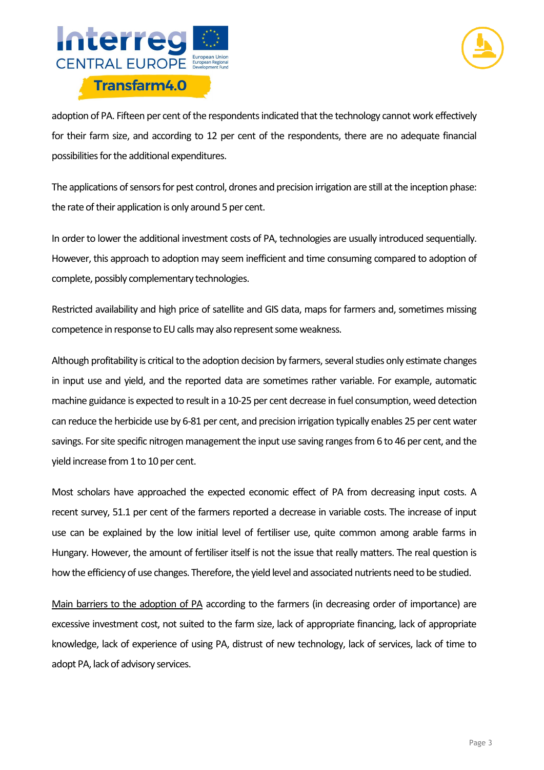



adoption of PA. Fifteen per cent of the respondents indicated that the technology cannot work effectively for their farm size, and according to 12 per cent of the respondents, there are no adequate financial possibilities for the additional expenditures.

The applications of sensors for pest control, drones and precision irrigation are still at the inception phase: the rate of their application is only around 5 per cent.

In order to lower the additional investment costs of PA, technologies are usually introduced sequentially. However, this approach to adoption may seem inefficient and time consuming compared to adoption of complete, possibly complementary technologies.

Restricted availability and high price of satellite and GIS data, maps for farmers and, sometimes missing competence in response to EU calls may also represent some weakness.

Although profitability is critical to the adoption decision by farmers, several studies only estimate changes in input use and yield, and the reported data are sometimes rather variable. For example, automatic machine guidance is expected to result in a 10-25 per cent decrease in fuel consumption, weed detection can reduce the herbicide use by 6-81 per cent, and precision irrigation typically enables 25 per cent water savings. For site specific nitrogen management the input use saving ranges from 6 to 46 per cent, and the yield increase from 1 to 10 per cent.

Most scholars have approached the expected economic effect of PA from decreasing input costs. A recent survey, 51.1 per cent of the farmers reported a decrease in variable costs. The increase of input use can be explained by the low initial level of fertiliser use, quite common among arable farms in Hungary. However, the amount of fertiliser itself is not the issue that really matters. The real question is how the efficiency of use changes. Therefore, the yield level and associated nutrients need to be studied.

Main barriers to the adoption of PA according to the farmers (in decreasing order of importance) are excessive investment cost, not suited to the farm size, lack of appropriate financing, lack of appropriate knowledge, lack of experience of using PA, distrust of new technology, lack of services, lack of time to adopt PA, lack of advisory services.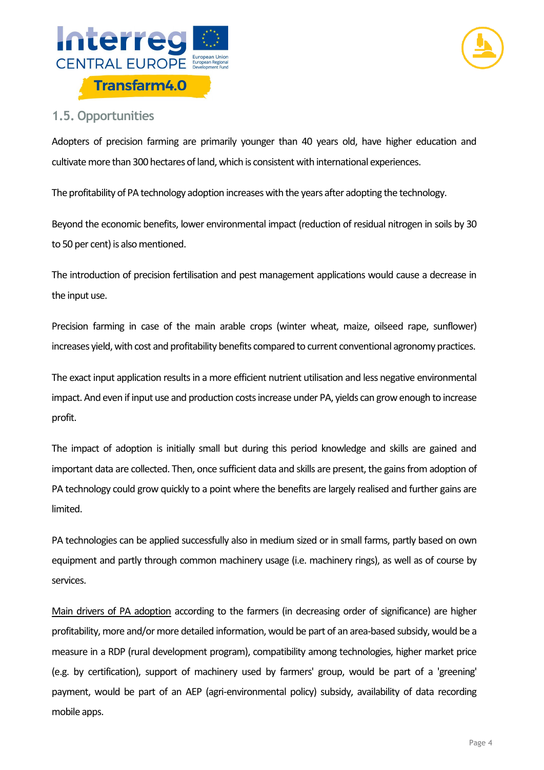



### **1.5. Opportunities**

Adopters of precision farming are primarily younger than 40 years old, have higher education and cultivate more than 300 hectares of land, which is consistent with international experiences.

The profitability of PA technology adoption increases with the years after adopting the technology.

Beyond the economic benefits, lower environmental impact (reduction of residual nitrogen in soils by 30 to 50 per cent) is also mentioned.

The introduction of precision fertilisation and pest management applications would cause a decrease in the input use.

Precision farming in case of the main arable crops (winter wheat, maize, oilseed rape, sunflower) increases yield, with cost and profitability benefits compared to current conventional agronomy practices.

The exact input application results in a more efficient nutrient utilisation and less negative environmental impact. And even if input use and production costs increase under PA, yields can grow enough to increase profit.

The impact of adoption is initially small but during this period knowledge and skills are gained and important data are collected. Then, once sufficient data and skills are present, the gains from adoption of PA technology could grow quickly to a point where the benefits are largely realised and further gains are limited.

PA technologies can be applied successfully also in medium sized or in small farms, partly based on own equipment and partly through common machinery usage (i.e. machinery rings), as well as of course by services.

Main drivers of PA adoption according to the farmers (in decreasing order of significance) are higher profitability, more and/or more detailed information, would be part of an area-based subsidy, would be a measure in a RDP (rural development program), compatibility among technologies, higher market price (e.g. by certification), support of machinery used by farmers' group, would be part of a 'greening' payment, would be part of an AEP (agri-environmental policy) subsidy, availability of data recording mobile apps.